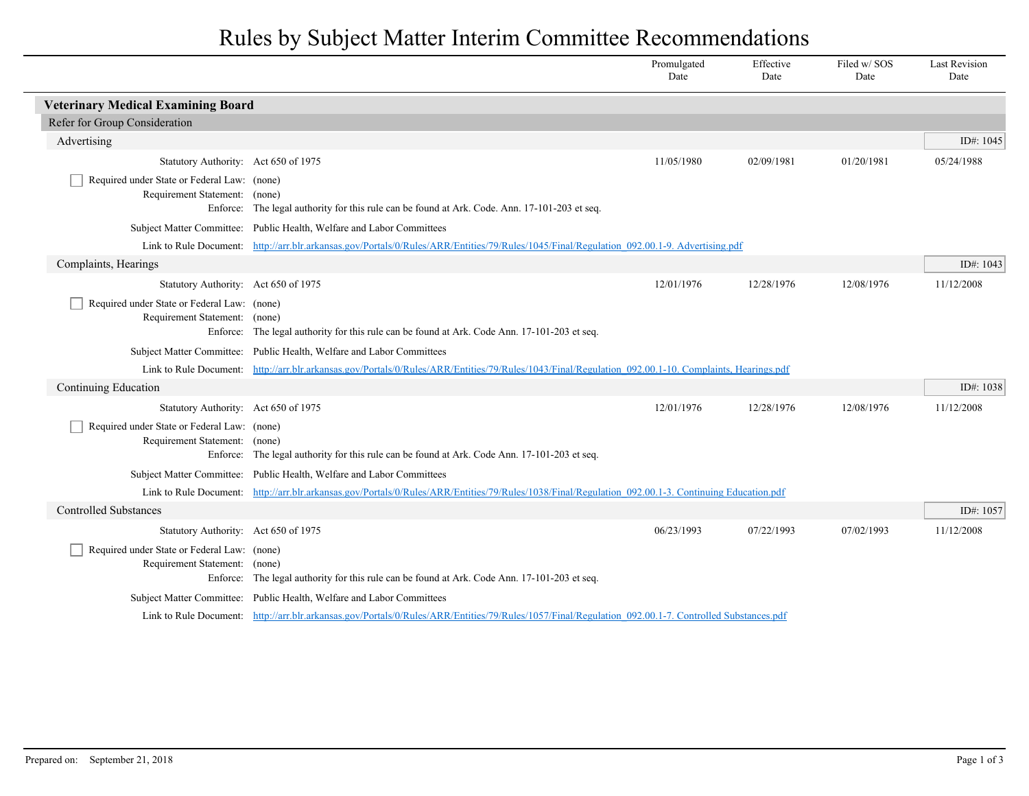## Rules by Subject Matter Interim Committee Recommendations

|                                                                                                                                                     |                                                                                                                                                      | Promulgated<br>Date | Effective<br>Date | Filed w/SOS<br>Date | <b>Last Revision</b><br>Date |
|-----------------------------------------------------------------------------------------------------------------------------------------------------|------------------------------------------------------------------------------------------------------------------------------------------------------|---------------------|-------------------|---------------------|------------------------------|
| <b>Veterinary Medical Examining Board</b>                                                                                                           |                                                                                                                                                      |                     |                   |                     |                              |
| Refer for Group Consideration                                                                                                                       |                                                                                                                                                      |                     |                   |                     |                              |
| Advertising                                                                                                                                         |                                                                                                                                                      |                     |                   |                     | ID#: $1045$                  |
| Statutory Authority: Act 650 of 1975                                                                                                                |                                                                                                                                                      | 11/05/1980          | 02/09/1981        | 01/20/1981          | 05/24/1988                   |
| Required under State or Federal Law: (none)                                                                                                         |                                                                                                                                                      |                     |                   |                     |                              |
| Requirement Statement: (none)                                                                                                                       |                                                                                                                                                      |                     |                   |                     |                              |
| Enforce:                                                                                                                                            | The legal authority for this rule can be found at Ark. Code. Ann. 17-101-203 et seq.                                                                 |                     |                   |                     |                              |
|                                                                                                                                                     | Subject Matter Committee: Public Health, Welfare and Labor Committees                                                                                |                     |                   |                     |                              |
|                                                                                                                                                     | Link to Rule Document: http://arr.blr.arkansas.gov/Portals/0/Rules/ARR/Entities/79/Rules/1045/Final/Regulation 092.00.1-9. Advertising.pdf           |                     |                   |                     |                              |
| Complaints, Hearings                                                                                                                                |                                                                                                                                                      |                     |                   |                     | ID#: $1043$                  |
| Statutory Authority: Act 650 of 1975                                                                                                                |                                                                                                                                                      | 12/01/1976          | 12/28/1976        | 12/08/1976          | 11/12/2008                   |
| Required under State or Federal Law: (none)<br>Requirement Statement: (none)                                                                        |                                                                                                                                                      |                     |                   |                     |                              |
|                                                                                                                                                     | Enforce: The legal authority for this rule can be found at Ark. Code Ann. 17-101-203 et seq.                                                         |                     |                   |                     |                              |
|                                                                                                                                                     | Subject Matter Committee: Public Health, Welfare and Labor Committees                                                                                |                     |                   |                     |                              |
|                                                                                                                                                     | Link to Rule Document: http://arr.blr.arkansas.gov/Portals/0/Rules/ARR/Entities/79/Rules/1043/Final/Regulation 092.00.1-10. Complaints, Hearings.pdf |                     |                   |                     |                              |
| Continuing Education                                                                                                                                |                                                                                                                                                      |                     |                   |                     | ID#: 1038                    |
| Statutory Authority: Act 650 of 1975                                                                                                                |                                                                                                                                                      | 12/01/1976          | 12/28/1976        | 12/08/1976          | 11/12/2008                   |
| Required under State or Federal Law: (none)                                                                                                         |                                                                                                                                                      |                     |                   |                     |                              |
| Requirement Statement: (none)                                                                                                                       |                                                                                                                                                      |                     |                   |                     |                              |
|                                                                                                                                                     | Enforce: The legal authority for this rule can be found at Ark. Code Ann. 17-101-203 et seq.                                                         |                     |                   |                     |                              |
|                                                                                                                                                     | Subject Matter Committee: Public Health, Welfare and Labor Committees                                                                                |                     |                   |                     |                              |
| Link to Rule Document: http://arr.blr.arkansas.gov/Portals/0/Rules/ARR/Entities/79/Rules/1038/Final/Regulation 092.00.1-3. Continuing Education.pdf |                                                                                                                                                      |                     |                   |                     |                              |
| <b>Controlled Substances</b>                                                                                                                        |                                                                                                                                                      |                     |                   |                     | ID#: 1057                    |
| Statutory Authority: Act 650 of 1975                                                                                                                |                                                                                                                                                      | 06/23/1993          | 07/22/1993        | 07/02/1993          | 11/12/2008                   |
| Required under State or Federal Law: (none)                                                                                                         |                                                                                                                                                      |                     |                   |                     |                              |
| Requirement Statement:<br>Enforce:                                                                                                                  | (none)<br>The legal authority for this rule can be found at Ark. Code Ann. 17-101-203 et seq.                                                        |                     |                   |                     |                              |
|                                                                                                                                                     | Subject Matter Committee: Public Health, Welfare and Labor Committees                                                                                |                     |                   |                     |                              |
|                                                                                                                                                     | Link to Rule Document: http://arr.blr.arkansas.gov/Portals/0/Rules/ARR/Entities/79/Rules/1057/Final/Regulation 092.00.1-7. Controlled Substances.pdf |                     |                   |                     |                              |
|                                                                                                                                                     |                                                                                                                                                      |                     |                   |                     |                              |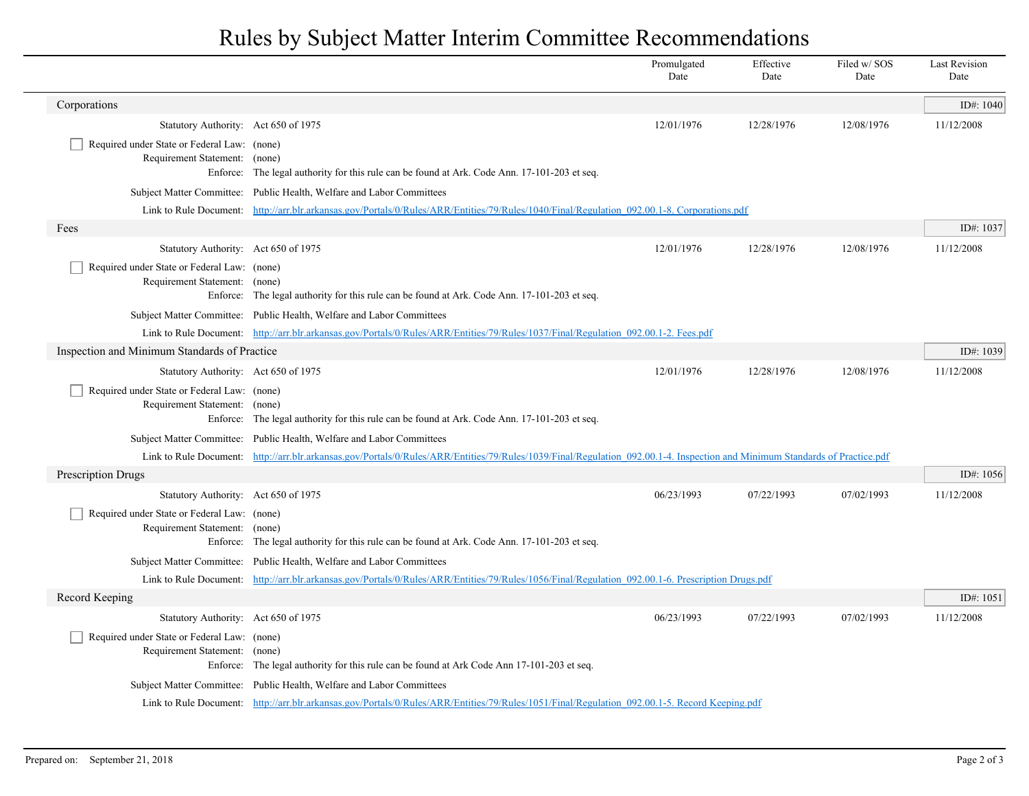## Rules by Subject Matter Interim Committee Recommendations

|                                                                                          |                                                                                                                                                                             | Promulgated<br>Date | Effective<br>Date | Filed w/ SOS<br>Date | <b>Last Revision</b><br>Date |  |
|------------------------------------------------------------------------------------------|-----------------------------------------------------------------------------------------------------------------------------------------------------------------------------|---------------------|-------------------|----------------------|------------------------------|--|
| Corporations                                                                             |                                                                                                                                                                             |                     |                   |                      | ID#: 1040                    |  |
| Statutory Authority: Act 650 of 1975                                                     |                                                                                                                                                                             | 12/01/1976          | 12/28/1976        | 12/08/1976           | 11/12/2008                   |  |
| Required under State or Federal Law: (none)<br>Requirement Statement: (none)<br>Enforce: | The legal authority for this rule can be found at Ark. Code Ann. 17-101-203 et seq.                                                                                         |                     |                   |                      |                              |  |
| Subject Matter Committee:                                                                | Public Health, Welfare and Labor Committees                                                                                                                                 |                     |                   |                      |                              |  |
|                                                                                          | Link to Rule Document: http://arr.blr.arkansas.gov/Portals/0/Rules/ARR/Entities/79/Rules/1040/Final/Regulation 092.00.1-8. Corporations.pdf                                 |                     |                   |                      |                              |  |
| Fees                                                                                     |                                                                                                                                                                             |                     |                   |                      | ID#: 1037                    |  |
| Statutory Authority: Act 650 of 1975                                                     |                                                                                                                                                                             | 12/01/1976          | 12/28/1976        | 12/08/1976           | 11/12/2008                   |  |
| Required under State or Federal Law: (none)<br>Requirement Statement: (none)             | Enforce: The legal authority for this rule can be found at Ark. Code Ann. 17-101-203 et seq.                                                                                |                     |                   |                      |                              |  |
|                                                                                          | Subject Matter Committee: Public Health, Welfare and Labor Committees                                                                                                       |                     |                   |                      |                              |  |
|                                                                                          | Link to Rule Document: http://arr.blr.arkansas.gov/Portals/0/Rules/ARR/Entities/79/Rules/1037/Final/Regulation 092.00.1-2. Fees.pdf                                         |                     |                   |                      |                              |  |
| Inspection and Minimum Standards of Practice                                             |                                                                                                                                                                             |                     |                   |                      | ID#: $1039$                  |  |
| Statutory Authority: Act 650 of 1975                                                     |                                                                                                                                                                             | 12/01/1976          | 12/28/1976        | 12/08/1976           | 11/12/2008                   |  |
| Required under State or Federal Law: (none)<br>Requirement Statement: (none)             | Enforce: The legal authority for this rule can be found at Ark. Code Ann. 17-101-203 et seq.                                                                                |                     |                   |                      |                              |  |
|                                                                                          | Subject Matter Committee: Public Health, Welfare and Labor Committees                                                                                                       |                     |                   |                      |                              |  |
|                                                                                          | Link to Rule Document: http://arr.blr.arkansas.gov/Portals/0/Rules/ARR/Entities/79/Rules/1039/Final/Regulation 092.00.1-4. Inspection and Minimum Standards of Practice.pdf |                     |                   |                      |                              |  |
| <b>Prescription Drugs</b>                                                                |                                                                                                                                                                             |                     |                   |                      | ID#: $1056$                  |  |
| Statutory Authority: Act 650 of 1975                                                     |                                                                                                                                                                             | 06/23/1993          | 07/22/1993        | 07/02/1993           | 11/12/2008                   |  |
| Required under State or Federal Law: (none)<br>Requirement Statement: (none)             | Enforce: The legal authority for this rule can be found at Ark. Code Ann. 17-101-203 et seq.                                                                                |                     |                   |                      |                              |  |
|                                                                                          | Subject Matter Committee: Public Health, Welfare and Labor Committees                                                                                                       |                     |                   |                      |                              |  |
|                                                                                          | Link to Rule Document: http://arr.blr.arkansas.gov/Portals/0/Rules/ARR/Entities/79/Rules/1056/Final/Regulation 092.00.1-6. Prescription Drugs.pdf                           |                     |                   |                      |                              |  |
| Record Keeping                                                                           |                                                                                                                                                                             |                     |                   |                      | ID#: 1051                    |  |
| Statutory Authority: Act 650 of 1975                                                     |                                                                                                                                                                             | 06/23/1993          | 07/22/1993        | 07/02/1993           | 11/12/2008                   |  |
| Required under State or Federal Law: (none)<br>Requirement Statement: (none)             | Enforce: The legal authority for this rule can be found at Ark Code Ann 17-101-203 et seq.                                                                                  |                     |                   |                      |                              |  |
|                                                                                          | Subject Matter Committee: Public Health, Welfare and Labor Committees                                                                                                       |                     |                   |                      |                              |  |
|                                                                                          | Link to Rule Document: http://arr.blr.arkansas.gov/Portals/0/Rules/ARR/Entities/79/Rules/1051/Final/Regulation 092.00.1-5. Record Keeping.pdf                               |                     |                   |                      |                              |  |